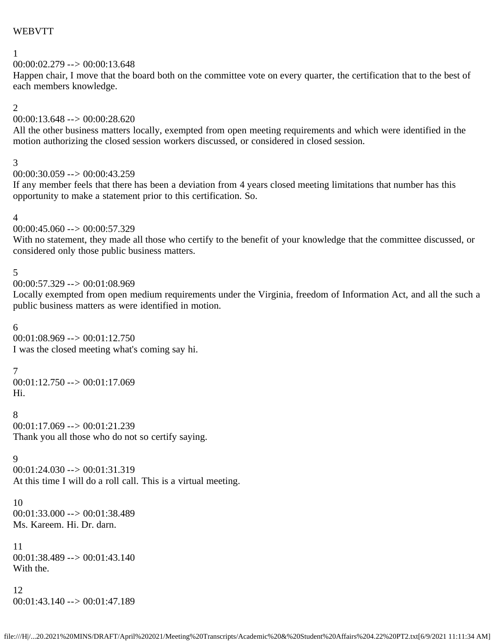### WEBVTT

## 1

# $00:00:02.279 \rightarrow 00:00:13.648$

Happen chair, I move that the board both on the committee vote on every quarter, the certification that to the best of each members knowledge.

#### 2

## 00:00:13.648 --> 00:00:28.620

All the other business matters locally, exempted from open meeting requirements and which were identified in the motion authorizing the closed session workers discussed, or considered in closed session.

#### 3

```
00:00:30.059 \rightarrow 00:00:43.259
```
If any member feels that there has been a deviation from 4 years closed meeting limitations that number has this opportunity to make a statement prior to this certification. So.

#### 4

```
00:00:45.060 \rightarrow 00:00:57.329
```
With no statement, they made all those who certify to the benefit of your knowledge that the committee discussed, or considered only those public business matters.

### 5

```
00:00:57.329 \rightarrow 00:01:08.969
```
Locally exempted from open medium requirements under the Virginia, freedom of Information Act, and all the such a public business matters as were identified in motion.

### 6

00:01:08.969 --> 00:01:12.750 I was the closed meeting what's coming say hi.

### 7

 $00:01:12.750 \rightarrow 00:01:17.069$ Hi.

### 8

 $00:01:17.069 \rightarrow 00:01:21.239$ Thank you all those who do not so certify saying.

### 9

 $00:01:24.030 \rightarrow 00:01:31.319$ At this time I will do a roll call. This is a virtual meeting.

10 00:01:33.000 --> 00:01:38.489 Ms. Kareem. Hi. Dr. darn.

11 00:01:38.489 --> 00:01:43.140 With the.

### 12 00:01:43.140 --> 00:01:47.189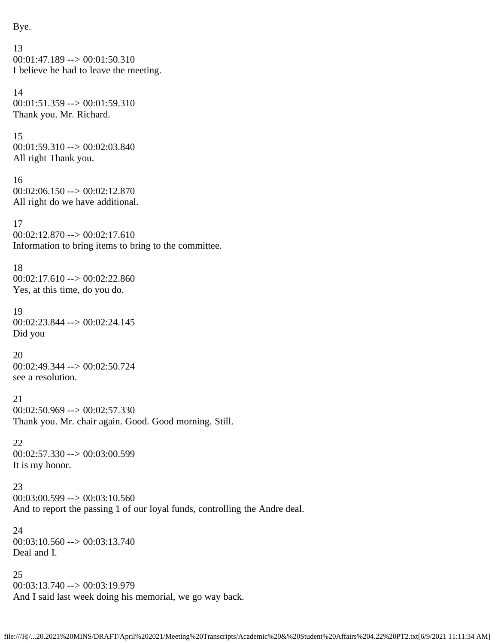Bye.

```
13
00:01:47.189 \rightarrow 00:01:50.310I believe he had to leave the meeting.
14
00:01:51.359 --> 00:01:59.310
Thank you. Mr. Richard.
15
00:01:59.310 --> 00:02:03.840
All right Thank you.
16
00:02:06.150 \rightarrow 00:02:12.870All right do we have additional.
17
00:02:12.870 --> 00:02:17.610
Information to bring items to bring to the committee.
18
00:02:17.610 \rightarrow 00:02:22.860Yes, at this time, do you do.
19
00:02:23.844 --> 00:02:24.145
Did you
20
00:02:49.344 --> 00:02:50.724
see a resolution.
21
00:02:50.969 --> 00:02:57.330
Thank you. Mr. chair again. Good. Good morning. Still.
22
00:02:57.330 --> 00:03:00.599
It is my honor.
23
00:03:00.599 --> 00:03:10.560
And to report the passing 1 of our loyal funds, controlling the Andre deal.
24
00:03:10.560 --> 00:03:13.740
Deal and I.
25
00:03:13.740 --> 00:03:19.979
And I said last week doing his memorial, we go way back.
```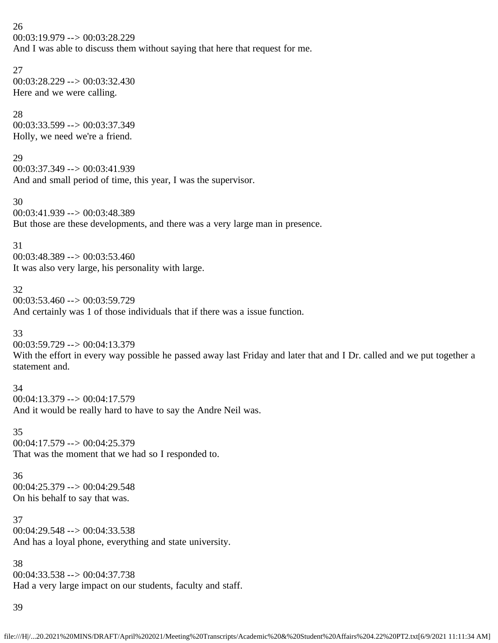26 00:03:19.979 --> 00:03:28.229 And I was able to discuss them without saying that here that request for me.

27 00:03:28.229 --> 00:03:32.430 Here and we were calling.

28 00:03:33.599 --> 00:03:37.349 Holly, we need we're a friend.

29 00:03:37.349 --> 00:03:41.939 And and small period of time, this year, I was the supervisor.

30 00:03:41.939 --> 00:03:48.389 But those are these developments, and there was a very large man in presence.

31  $00:03:48.389 \rightarrow 00:03:53.460$ It was also very large, his personality with large.

32  $00:03:53.460 \rightarrow 00:03:59.729$ And certainly was 1 of those individuals that if there was a issue function.

33 00:03:59.729 --> 00:04:13.379 With the effort in every way possible he passed away last Friday and later that and I Dr. called and we put together a statement and.

34 00:04:13.379 --> 00:04:17.579 And it would be really hard to have to say the Andre Neil was.

35  $00:04:17.579 \rightarrow 00:04:25.379$ That was the moment that we had so I responded to.

36 00:04:25.379 --> 00:04:29.548 On his behalf to say that was.

37 00:04:29.548 --> 00:04:33.538 And has a loyal phone, everything and state university.

38 00:04:33.538 --> 00:04:37.738 Had a very large impact on our students, faculty and staff.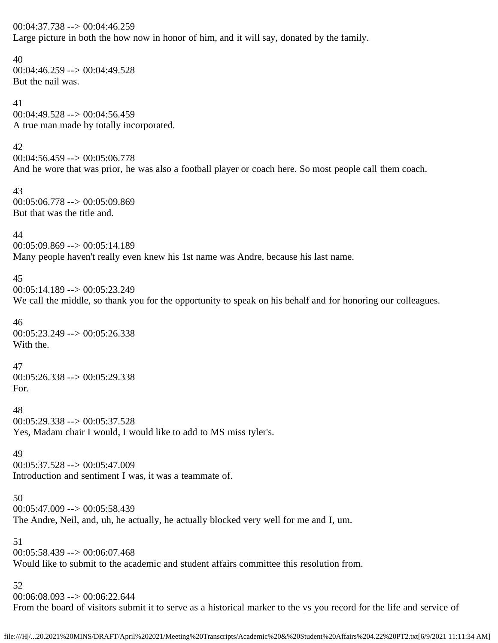00:04:37.738 --> 00:04:46.259 Large picture in both the how now in honor of him, and it will say, donated by the family.

40 00:04:46.259 --> 00:04:49.528 But the nail was.

41 00:04:49.528 --> 00:04:56.459 A true man made by totally incorporated.

42  $00:04:56.459 \rightarrow 00:05:06.778$ And he wore that was prior, he was also a football player or coach here. So most people call them coach.

43  $00:05:06.778 \rightarrow 00:05:09.869$ But that was the title and.

44

00:05:09.869 --> 00:05:14.189 Many people haven't really even knew his 1st name was Andre, because his last name.

### 45

00:05:14.189 --> 00:05:23.249 We call the middle, so thank you for the opportunity to speak on his behalf and for honoring our colleagues.

46  $00:05:23.249 \rightarrow 00:05:26.338$ With the.

47  $00:05:26.338 \rightarrow 00:05:29.338$ For.

48 00:05:29.338 --> 00:05:37.528 Yes, Madam chair I would, I would like to add to MS miss tyler's.

49 00:05:37.528 --> 00:05:47.009 Introduction and sentiment I was, it was a teammate of.

50

00:05:47.009 --> 00:05:58.439 The Andre, Neil, and, uh, he actually, he actually blocked very well for me and I, um.

51 00:05:58.439 --> 00:06:07.468 Would like to submit to the academic and student affairs committee this resolution from.

52 00:06:08.093 --> 00:06:22.644 From the board of visitors submit it to serve as a historical marker to the vs you record for the life and service of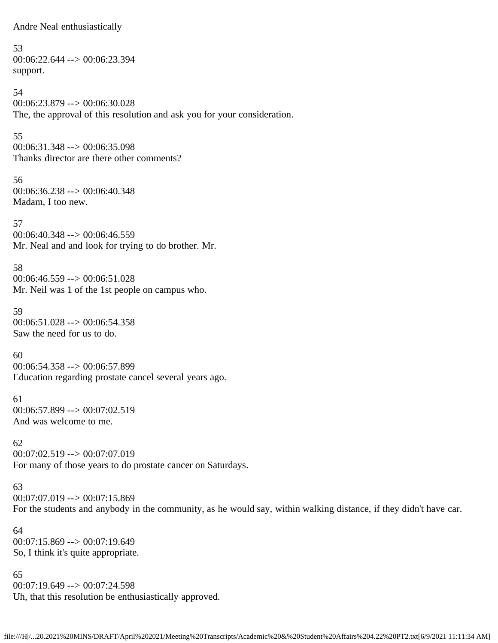Andre Neal enthusiastically

53 00:06:22.644 --> 00:06:23.394 support.

54 00:06:23.879 --> 00:06:30.028 The, the approval of this resolution and ask you for your consideration.

55 00:06:31.348 --> 00:06:35.098 Thanks director are there other comments?

56  $00:06:36.238 \rightarrow 00:06:40.348$ Madam, I too new.

57 00:06:40.348 --> 00:06:46.559 Mr. Neal and and look for trying to do brother. Mr.

58  $00:06:46.559 \rightarrow 00:06:51.028$ Mr. Neil was 1 of the 1st people on campus who.

59  $00:06:51.028 \rightarrow 00:06:54.358$ Saw the need for us to do.

60 00:06:54.358 --> 00:06:57.899 Education regarding prostate cancel several years ago.

61  $00:06:57.899 \rightarrow 00:07:02.519$ And was welcome to me.

62 00:07:02.519 --> 00:07:07.019 For many of those years to do prostate cancer on Saturdays.

63

 $00:07:07.019 \rightarrow 00:07:15.869$ 

For the students and anybody in the community, as he would say, within walking distance, if they didn't have car.

64 00:07:15.869 --> 00:07:19.649 So, I think it's quite appropriate.

65 00:07:19.649 --> 00:07:24.598 Uh, that this resolution be enthusiastically approved.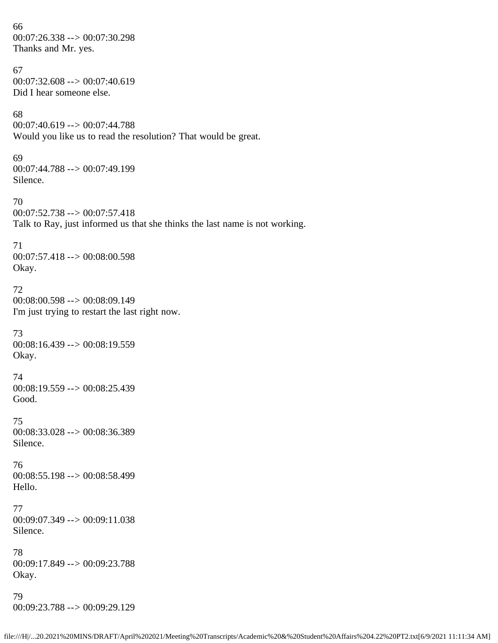66 00:07:26.338 --> 00:07:30.298 Thanks and Mr. yes. 67  $00:07:32.608 \rightarrow 00:07:40.619$ Did I hear someone else. 68 00:07:40.619 --> 00:07:44.788 Would you like us to read the resolution? That would be great. 69 00:07:44.788 --> 00:07:49.199 Silence. 70 00:07:52.738 --> 00:07:57.418 Talk to Ray, just informed us that she thinks the last name is not working. 71 00:07:57.418 --> 00:08:00.598 Okay. 72 00:08:00.598 --> 00:08:09.149 I'm just trying to restart the last right now. 73  $00:08:16.439 \rightarrow 00:08:19.559$ Okay. 74 00:08:19.559 --> 00:08:25.439 Good. 75 00:08:33.028 --> 00:08:36.389 Silence. 76 00:08:55.198 --> 00:08:58.499 Hello. 77 00:09:07.349 --> 00:09:11.038 Silence. 78 00:09:17.849 --> 00:09:23.788 Okay. 79 00:09:23.788 --> 00:09:29.129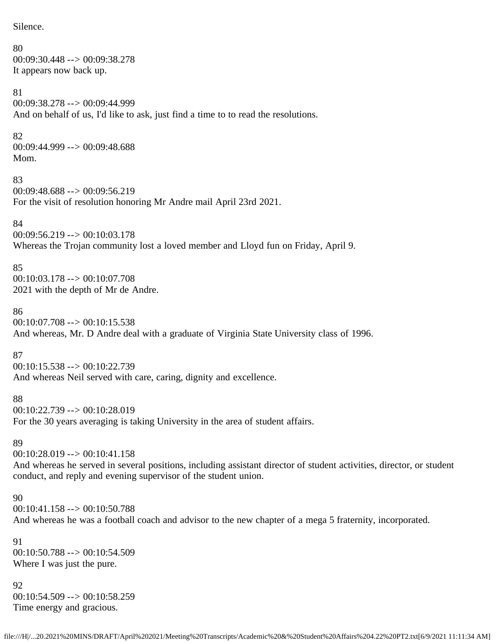Silence.

80 00:09:30.448 --> 00:09:38.278 It appears now back up. 81 00:09:38.278 --> 00:09:44.999 And on behalf of us, I'd like to ask, just find a time to to read the resolutions. 82 00:09:44.999 --> 00:09:48.688 Mom. 83 00:09:48.688 --> 00:09:56.219 For the visit of resolution honoring Mr Andre mail April 23rd 2021. 84 00:09:56.219 --> 00:10:03.178 Whereas the Trojan community lost a loved member and Lloyd fun on Friday, April 9. 85 00:10:03.178 --> 00:10:07.708 2021 with the depth of Mr de Andre. 86  $00:10:07.708 \rightarrow 00:10:15.538$ And whereas, Mr. D Andre deal with a graduate of Virginia State University class of 1996. 87

00:10:15.538 --> 00:10:22.739 And whereas Neil served with care, caring, dignity and excellence.

88 00:10:22.739 --> 00:10:28.019 For the 30 years averaging is taking University in the area of student affairs.

89

00:10:28.019 --> 00:10:41.158 And whereas he served in several positions, including assistant director of student activities, director, or student conduct, and reply and evening supervisor of the student union.

90 00:10:41.158 --> 00:10:50.788 And whereas he was a football coach and advisor to the new chapter of a mega 5 fraternity, incorporated.

91 00:10:50.788 --> 00:10:54.509 Where I was just the pure.

92 00:10:54.509 --> 00:10:58.259 Time energy and gracious.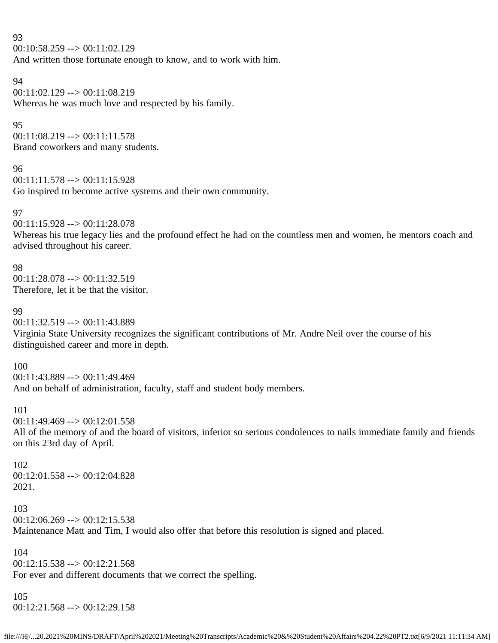#### 93

00:10:58.259 --> 00:11:02.129

And written those fortunate enough to know, and to work with him.

#### 94

00:11:02.129 --> 00:11:08.219 Whereas he was much love and respected by his family.

### 95

 $00:11:08.219 \rightarrow 00:11:11.578$ Brand coworkers and many students.

### 96

 $00:11:11.578 \rightarrow 00:11:15.928$ Go inspired to become active systems and their own community.

### 97

00:11:15.928 --> 00:11:28.078

Whereas his true legacy lies and the profound effect he had on the countless men and women, he mentors coach and advised throughout his career.

98 00:11:28.078 --> 00:11:32.519 Therefore, let it be that the visitor.

### 99

00:11:32.519 --> 00:11:43.889 Virginia State University recognizes the significant contributions of Mr. Andre Neil over the course of his distinguished career and more in depth.

### 100

00:11:43.889 --> 00:11:49.469

And on behalf of administration, faculty, staff and student body members.

### 101

 $00:11:49.469 \rightarrow 00:12:01.558$ 

All of the memory of and the board of visitors, inferior so serious condolences to nails immediate family and friends on this 23rd day of April.

#### 102 00:12:01.558 --> 00:12:04.828 2021.

103  $00:12:06.269 \rightarrow 00:12:15.538$ Maintenance Matt and Tim, I would also offer that before this resolution is signed and placed.

### 104

 $00:12:15.538 \rightarrow 00:12:21.568$ For ever and different documents that we correct the spelling.

### 105

00:12:21.568 --> 00:12:29.158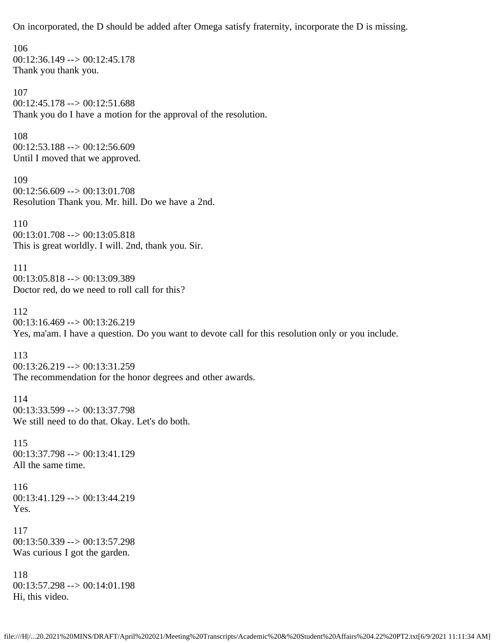On incorporated, the D should be added after Omega satisfy fraternity, incorporate the D is missing.

106  $00:12:36.149 \rightarrow 00:12:45.178$ Thank you thank you. 107 00:12:45.178 --> 00:12:51.688 Thank you do I have a motion for the approval of the resolution. 108 00:12:53.188 --> 00:12:56.609 Until I moved that we approved. 109  $00:12:56.609 \rightarrow 00:13:01.708$ Resolution Thank you. Mr. hill. Do we have a 2nd. 110 00:13:01.708 --> 00:13:05.818 This is great worldly. I will. 2nd, thank you. Sir. 111 00:13:05.818 --> 00:13:09.389 Doctor red, do we need to roll call for this? 112 00:13:16.469 --> 00:13:26.219 Yes, ma'am. I have a question. Do you want to devote call for this resolution only or you include. 113 00:13:26.219 --> 00:13:31.259 The recommendation for the honor degrees and other awards. 114 00:13:33.599 --> 00:13:37.798 We still need to do that. Okay. Let's do both. 115 00:13:37.798 --> 00:13:41.129 All the same time. 116 00:13:41.129 --> 00:13:44.219 Yes. 117  $00:13:50.339 \rightarrow 00:13:57.298$ Was curious I got the garden. 118  $00:13:57.298 \rightarrow 00:14:01.198$ Hi, this video.